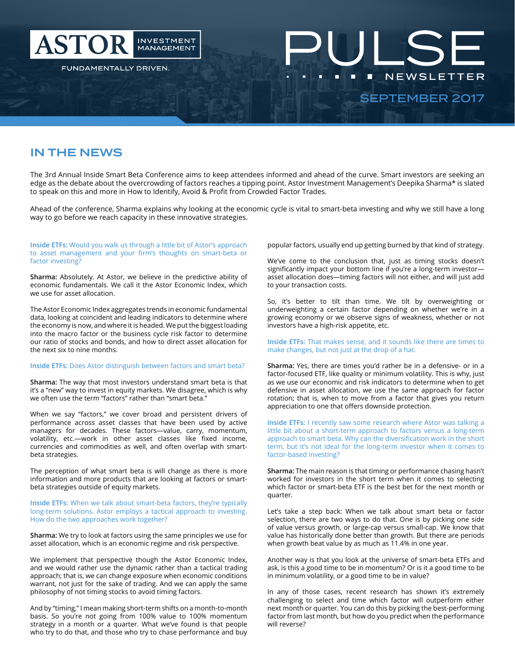

# IN THE NEWS

The 3rd Annual Inside Smart Beta Conference aims to keep attendees informed and ahead of the curve. Smart investors are seeking an edge as the debate about the overcrowding of factors reaches a tipping point. Astor Investment Management's Deepika Sharma\* is slated to speak on this and more in How to Identify, Avoid & Profit from Crowded Factor Trades.

Ahead of the conference, Sharma explains why looking at the economic cycle is vital to smart-beta investing and why we still have a long way to go before we reach capacity in these innovative strategies.

### **Inside ETFs:** Would you walk us through a little bit of Astor's approach to asset management and your firm's thoughts on smart-beta or factor investing?

**Sharma:** Absolutely. At Astor, we believe in the predictive ability of economic fundamentals. We call it the Astor Economic Index, which we use for asset allocation.

The Astor Economic Index aggregates trends in economic fundamental data, looking at coincident and leading indicators to determine where the economy is now, and where it is headed. We put the biggest loading into the macro factor or the business cycle risk factor to determine our ratio of stocks and bonds, and how to direct asset allocation for the next six to nine months.

#### **Inside ETFs:** Does Astor distinguish between factors and smart beta?

**Sharma:** The way that most investors understand smart beta is that it's a "new" way to invest in equity markets. We disagree, which is why we often use the term "factors" rather than "smart beta."

When we say "factors," we cover broad and persistent drivers of performance across asset classes that have been used by active managers for decades. These factors—value, carry, momentum, volatility, etc.—work in other asset classes like fixed income, currencies and commodities as well, and often overlap with smartbeta strategies.

The perception of what smart beta is will change as there is more information and more products that are looking at factors or smartbeta strategies outside of equity markets.

**Inside ETFs:** When we talk about smart-beta factors, they're typically long-term solutions. Astor employs a tactical approach to investing. How do the two approaches work together?

**Sharma:** We try to look at factors using the same principles we use for asset allocation, which is an economic regime and risk perspective.

We implement that perspective though the Astor Economic Index, and we would rather use the dynamic rather than a tactical trading approach; that is, we can change exposure when economic conditions warrant, not just for the sake of trading. And we can apply the same philosophy of not timing stocks to avoid timing factors.

And by "timing," I mean making short-term shifts on a month-to-month basis. So you're not going from 100% value to 100% momentum strategy in a month or a quarter. What we've found is that people who try to do that, and those who try to chase performance and buy

popular factors, usually end up getting burned by that kind of strategy.

We've come to the conclusion that, just as timing stocks doesn't significantly impact your bottom line if you're a long-term investor asset allocation does—timing factors will not either, and will just add to your transaction costs.

So, it's better to tilt than time. We tilt by overweighting or underweighting a certain factor depending on whether we're in a growing economy or we observe signs of weakness, whether or not investors have a high-risk appetite, etc.

## **Inside ETFs:** That makes sense, and it sounds like there are times to make changes, but not just at the drop of a hat.

**Sharma:** Yes, there are times you'd rather be in a defensive- or in a factor-focused ETF, like quality or minimum volatility. This is why, just as we use our economic and risk indicators to determine when to get defensive in asset allocation, we use the same approach for factor rotation; that is, when to move from a factor that gives you return appreciation to one that offers downside protection.

**Inside ETFs:** I recently saw some research where Astor was talking a little bit about a short-term approach to factors versus a long-term approach to smart beta. Why can the diversification work in the short term, but it's not ideal for the long-term investor when it comes to factor-based investing?

**Sharma:** The main reason is that timing or performance chasing hasn't worked for investors in the short term when it comes to selecting which factor or smart-beta ETF is the best bet for the next month or quarter.

Let's take a step back: When we talk about smart beta or factor selection, there are two ways to do that. One is by picking one side of value versus growth, or large-cap versus small-cap. We know that value has historically done better than growth. But there are periods when growth beat value by as much as 11.4% in one year.

Another way is that you look at the universe of smart-beta ETFs and ask, is this a good time to be in momentum? Or is it a good time to be in minimum volatility, or a good time to be in value?

In any of those cases, recent research has shown it's extremely challenging to select and time which factor will outperform either next month or quarter. You can do this by picking the best-performing factor from last month, but how do you predict when the performance will reverse?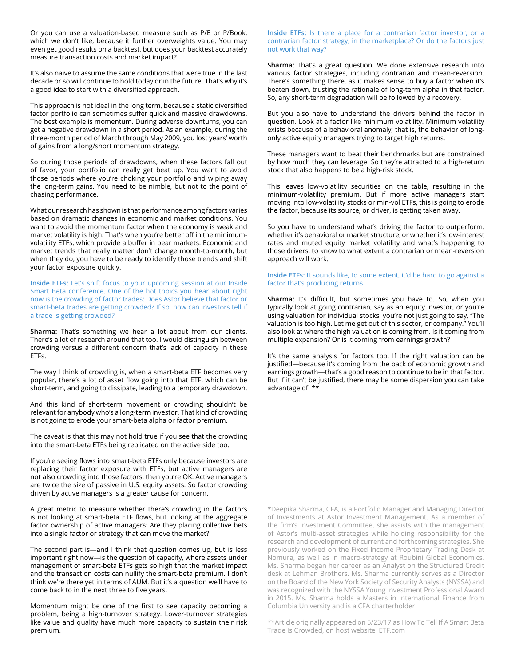Or you can use a valuation-based measure such as P/E or P/Book, which we don't like, because it further overweights value. You may even get good results on a backtest, but does your backtest accurately measure transaction costs and market impact?

It's also naive to assume the same conditions that were true in the last decade or so will continue to hold today or in the future. That's why it's a good idea to start with a diversified approach.

This approach is not ideal in the long term, because a static diversified factor portfolio can sometimes suffer quick and massive drawdowns. The best example is momentum. During adverse downturns, you can get a negative drawdown in a short period. As an example, during the three-month period of March through May 2009, you lost years' worth of gains from a long/short momentum strategy.

So during those periods of drawdowns, when these factors fall out of favor, your portfolio can really get beat up. You want to avoid those periods where you're choking your portfolio and wiping away the long-term gains. You need to be nimble, but not to the point of chasing performance.

What our research has shown is that performance among factors varies based on dramatic changes in economic and market conditions. You want to avoid the momentum factor when the economy is weak and market volatility is high. That's when you're better off in the minimumvolatility ETFs, which provide a buffer in bear markets. Economic and market trends that really matter don't change month-to-month, but when they do, you have to be ready to identify those trends and shift your factor exposure quickly.

**Inside ETFs:** Let's shift focus to your upcoming session at our Inside Smart Beta conference. One of the hot topics you hear about right now is the crowding of factor trades: Does Astor believe that factor or smart-beta trades are getting crowded? If so, how can investors tell if a trade is getting crowded?

**Sharma:** That's something we hear a lot about from our clients. There's a lot of research around that too. I would distinguish between crowding versus a different concern that's lack of capacity in these ETFs.

The way I think of crowding is, when a smart-beta ETF becomes very popular, there's a lot of asset flow going into that ETF, which can be short-term, and going to dissipate, leading to a temporary drawdown.

And this kind of short-term movement or crowding shouldn't be relevant for anybody who's a long-term investor. That kind of crowding is not going to erode your smart-beta alpha or factor premium.

The caveat is that this may not hold true if you see that the crowding into the smart-beta ETFs being replicated on the active side too.

If you're seeing flows into smart-beta ETFs only because investors are replacing their factor exposure with ETFs, but active managers are not also crowding into those factors, then you're OK. Active managers are twice the size of passive in U.S. equity assets. So factor crowding driven by active managers is a greater cause for concern.

A great metric to measure whether there's crowding in the factors is not looking at smart-beta ETF flows, but looking at the aggregate factor ownership of active managers: Are they placing collective bets into a single factor or strategy that can move the market?

The second part is—and I think that question comes up, but is less important right now—is the question of capacity, where assets under management of smart-beta ETFs gets so high that the market impact and the transaction costs can nullify the smart-beta premium. I don't think we're there yet in terms of AUM. But it's a question we'll have to come back to in the next three to five years.

Momentum might be one of the first to see capacity becoming a problem, being a high-turnover strategy. Lower-turnover strategies like value and quality have much more capacity to sustain their risk premium.

**Inside ETFs:** Is there a place for a contrarian factor investor, or a contrarian factor strategy, in the marketplace? Or do the factors just not work that way?

**Sharma:** That's a great question. We done extensive research into various factor strategies, including contrarian and mean-reversion. There's something there, as it makes sense to buy a factor when it's beaten down, trusting the rationale of long-term alpha in that factor. So, any short-term degradation will be followed by a recovery.

But you also have to understand the drivers behind the factor in question. Look at a factor like minimum volatility. Minimum volatility exists because of a behavioral anomaly; that is, the behavior of longonly active equity managers trying to target high returns.

These managers want to beat their benchmarks but are constrained by how much they can leverage. So they're attracted to a high-return stock that also happens to be a high-risk stock.

This leaves low-volatility securities on the table, resulting in the minimum-volatility premium. But if more active managers start moving into low-volatility stocks or min-vol ETFs, this is going to erode the factor, because its source, or driver, is getting taken away.

So you have to understand what's driving the factor to outperform, whether it's behavioral or market structure, or whether it's low-interest rates and muted equity market volatility and what's happening to those drivers, to know to what extent a contrarian or mean-reversion approach will work.

#### **Inside ETFs:** It sounds like, to some extent, it'd be hard to go against a factor that's producing returns.

**Sharma:** It's difficult, but sometimes you have to. So, when you typically look at going contrarian, say as an equity investor, or you're using valuation for individual stocks, you're not just going to say, "The valuation is too high. Let me get out of this sector, or company." You'll also look at where the high valuation is coming from. Is it coming from multiple expansion? Or is it coming from earnings growth?

It's the same analysis for factors too. If the right valuation can be justified—because it's coming from the back of economic growth and earnings growth—that's a good reason to continue to be in that factor. But if it can't be justified, there may be some dispersion you can take advantage of. \*\*

\*Deepika Sharma, CFA, is a Portfolio Manager and Managing Director of Investments at Astor Investment Management. As a member of the firm's Investment Committee, she assists with the management of Astor's multi-asset strategies while holding responsibility for the research and development of current and forthcoming strategies. She previously worked on the Fixed Income Proprietary Trading Desk at Nomura, as well as in macro-strategy at Roubini Global Economics. Ms. Sharma began her career as an Analyst on the Structured Credit desk at Lehman Brothers. Ms. Sharma currently serves as a Director on the Board of the New York Society of Security Analysts (NYSSA) and was recognized with the NYSSA Young Investment Professional Award in 2015. Ms. Sharma holds a Masters in International Finance from Columbia University and is a CFA charterholder.

\*\*Article originally appeared on 5/23/17 as How To Tell If A Smart Beta Trade Is Crowded, on host website, ETF.com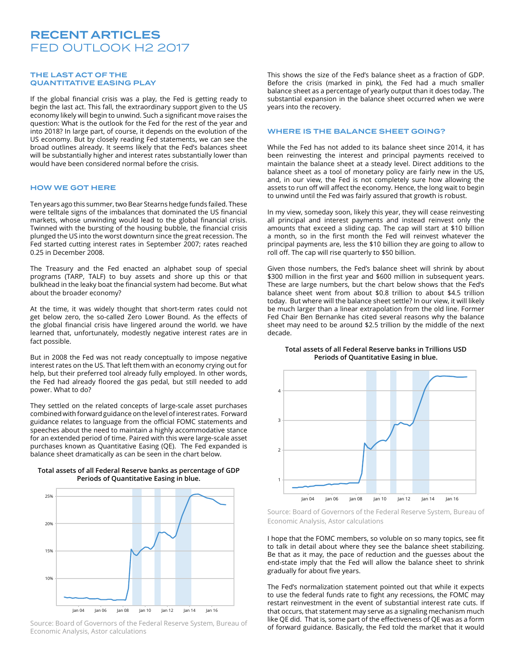# RECENT ARTICLES FED OUTLOOK H2 2017

### THE LAST ACT OF THE QUANTITATIVE EASING PLAY

If the global financial crisis was a play, the Fed is getting ready to begin the last act. This fall, the extraordinary support given to the US economy likely will begin to unwind. Such a significant move raises the question: What is the outlook for the Fed for the rest of the year and into 2018? In large part, of course, it depends on the evolution of the US economy. But by closely reading Fed statements, we can see the broad outlines already. It seems likely that the Fed's balances sheet will be substantially higher and interest rates substantially lower than would have been considered normal before the crisis.

#### HOW WE GOT HERE

Ten years ago this summer, two Bear Stearns hedge funds failed. These were telltale signs of the imbalances that dominated the US financial markets, whose unwinding would lead to the global financial crisis. Twinned with the bursting of the housing bubble, the financial crisis plunged the US into the worst downturn since the great recession. The Fed started cutting interest rates in September 2007; rates reached 0.25 in December 2008.

The Treasury and the Fed enacted an alphabet soup of special programs (TARP, TALF) to buy assets and shore up this or that bulkhead in the leaky boat the financial system had become. But what about the broader economy?

At the time, it was widely thought that short-term rates could not get below zero, the so-called Zero Lower Bound. As the effects of the global financial crisis have lingered around the world. we have learned that, unfortunately, modestly negative interest rates are in fact possible.

But in 2008 the Fed was not ready conceptually to impose negative interest rates on the US. That left them with an economy crying out for help, but their preferred tool already fully employed. In other words, the Fed had already floored the gas pedal, but still needed to add power. What to do?

They settled on the related concepts of large-scale asset purchases combined with forward guidance on the level of interest rates. Forward guidance relates to language from the official FOMC statements and speeches about the need to maintain a highly accommodative stance for an extended period of time. Paired with this were large-scale asset purchases known as Quantitative Easing (QE). The Fed expanded is balance sheet dramatically as can be seen in the chart below.



**Total assets of all Federal Reserve banks as percentage of GDP Periods of Quantitative Easing in blue.**

Source: Board of Governors of the Federal Reserve System, Bureau of Economic Analysis, Astor calculations

This shows the size of the Fed's balance sheet as a fraction of GDP. Before the crisis (marked in pink), the Fed had a much smaller balance sheet as a percentage of yearly output than it does today. The substantial expansion in the balance sheet occurred when we were years into the recovery.

## WHERE IS THE BALANCE SHEET GOING?

While the Fed has not added to its balance sheet since 2014, it has been reinvesting the interest and principal payments received to maintain the balance sheet at a steady level. Direct additions to the balance sheet as a tool of monetary policy are fairly new in the US, and, in our view, the Fed is not completely sure how allowing the assets to run off will affect the economy. Hence, the long wait to begin to unwind until the Fed was fairly assured that growth is robust.

In my view, someday soon, likely this year, they will cease reinvesting all principal and interest payments and instead reinvest only the amounts that exceed a sliding cap. The cap will start at \$10 billion a month, so in the first month the Fed will reinvest whatever the principal payments are, less the \$10 billion they are going to allow to roll off. The cap will rise quarterly to \$50 billion.

Given those numbers, the Fed's balance sheet will shrink by about \$300 million in the first year and \$600 million in subsequent years. These are large numbers, but the chart below shows that the Fed's balance sheet went from about \$0.8 trillion to about \$4.5 trillion today. But where will the balance sheet settle? In our view, it will likely be much larger than a linear extrapolation from the old line. Former Fed Chair Ben Bernanke has cited several reasons why the balance sheet may need to be around \$2.5 trillion by the middle of the next decade.

## **Total assets of all Federal Reserve banks in Trillions USD Periods of Quantitative Easing in blue.**



Source: Board of Governors of the Federal Reserve System, Bureau of Economic Analysis, Astor calculations

I hope that the FOMC members, so voluble on so many topics, see fit to talk in detail about where they see the balance sheet stabilizing. Be that as it may, the pace of reduction and the guesses about the end-state imply that the Fed will allow the balance sheet to shrink gradually for about five years.

The Fed's normalization statement pointed out that while it expects to use the federal funds rate to fight any recessions, the FOMC may restart reinvestment in the event of substantial interest rate cuts. If that occurs, that statement may serve as a signaling mechanism much like QE did. That is, some part of the effectiveness of QE was as a form of forward guidance. Basically, the Fed told the market that it would